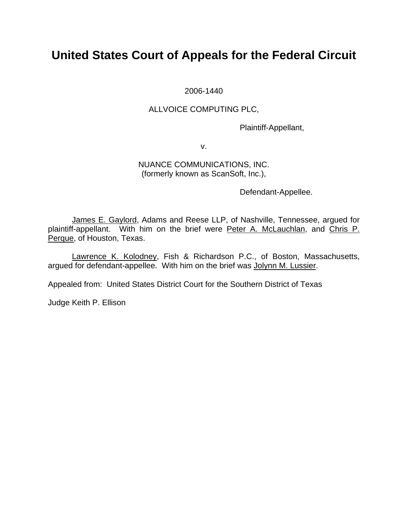# **United States Court of Appeals for the Federal Circuit**

2006-1440

### ALLVOICE COMPUTING PLC,

Plaintiff-Appellant,

v.

### NUANCE COMMUNICATIONS, INC. (formerly known as ScanSoft, Inc.),

Defendant-Appellee.

 James E. Gaylord, Adams and Reese LLP, of Nashville, Tennessee, argued for plaintiff-appellant. With him on the brief were Peter A. McLauchlan, and Chris P. Perque, of Houston, Texas.

 Lawrence K. Kolodney, Fish & Richardson P.C., of Boston, Massachusetts, argued for defendant-appellee. With him on the brief was Jolynn M. Lussier.

Appealed from: United States District Court for the Southern District of Texas

Judge Keith P. Ellison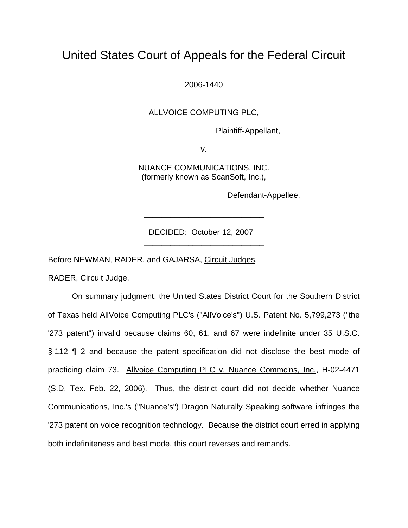## United States Court of Appeals for the Federal Circuit

2006-1440

ALLVOICE COMPUTING PLC,

Plaintiff-Appellant,

v.

NUANCE COMMUNICATIONS, INC. (formerly known as ScanSoft, Inc.),

Defendant-Appellee.

 DECIDED: October 12, 2007 \_\_\_\_\_\_\_\_\_\_\_\_\_\_\_\_\_\_\_\_\_\_\_\_\_\_\_

\_\_\_\_\_\_\_\_\_\_\_\_\_\_\_\_\_\_\_\_\_\_\_\_\_\_\_

Before NEWMAN, RADER, and GAJARSA, Circuit Judges.

RADER, Circuit Judge.

On summary judgment, the United States District Court for the Southern District of Texas held AllVoice Computing PLC's ("AllVoice's") U.S. Patent No. 5,799,273 ("the '273 patent") invalid because claims 60, 61, and 67 were indefinite under 35 U.S.C. § 112 ¶ 2 and because the patent specification did not disclose the best mode of practicing claim 73. Allvoice Computing PLC v. Nuance Commc'ns, Inc., H-02-4471 (S.D. Tex. Feb. 22, 2006). Thus, the district court did not decide whether Nuance Communications, Inc.'s ("Nuance's") Dragon Naturally Speaking software infringes the '273 patent on voice recognition technology. Because the district court erred in applying both indefiniteness and best mode, this court reverses and remands.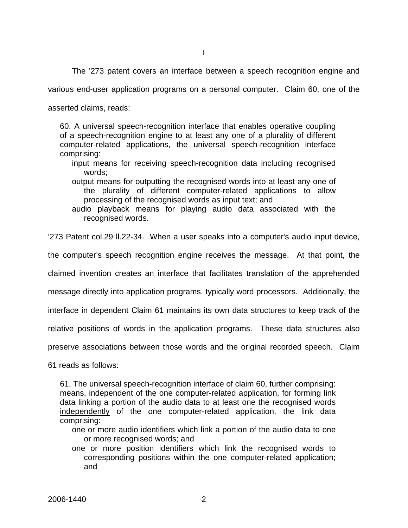The '273 patent covers an interface between a speech recognition engine and

various end-user application programs on a personal computer. Claim 60, one of the

asserted claims, reads:

60. A universal speech-recognition interface that enables operative coupling of a speech-recognition engine to at least any one of a plurality of different computer-related applications, the universal speech-recognition interface comprising:

- input means for receiving speech-recognition data including recognised words;
- output means for outputting the recognised words into at least any one of the plurality of different computer-related applications to allow processing of the recognised words as input text; and

audio playback means for playing audio data associated with the recognised words.

'273 Patent col.29 ll.22-34. When a user speaks into a computer's audio input device,

the computer's speech recognition engine receives the message. At that point, the

claimed invention creates an interface that facilitates translation of the apprehended

message directly into application programs, typically word processors. Additionally, the

interface in dependent Claim 61 maintains its own data structures to keep track of the

relative positions of words in the application programs. These data structures also

preserve associations between those words and the original recorded speech. Claim

61 reads as follows:

61. The universal speech-recognition interface of claim 60, further comprising: means, independent of the one computer-related application, for forming link data linking a portion of the audio data to at least one the recognised words independently of the one computer-related application, the link data comprising:

- one or more audio identifiers which link a portion of the audio data to one or more recognised words; and
- one or more position identifiers which link the recognised words to corresponding positions within the one computer-related application; and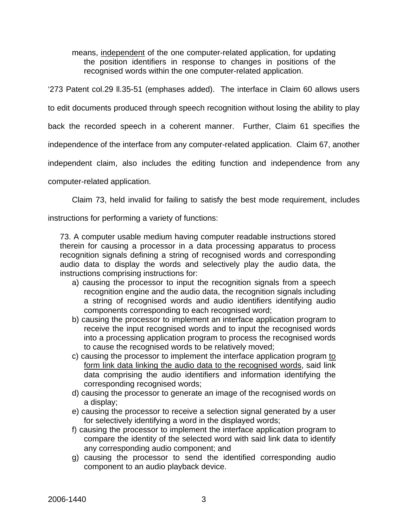means, independent of the one computer-related application, for updating the position identifiers in response to changes in positions of the recognised words within the one computer-related application.

'273 Patent col.29 ll.35-51 (emphases added). The interface in Claim 60 allows users

to edit documents produced through speech recognition without losing the ability to play

back the recorded speech in a coherent manner. Further, Claim 61 specifies the

independence of the interface from any computer-related application. Claim 67, another

independent claim, also includes the editing function and independence from any

computer-related application.

Claim 73, held invalid for failing to satisfy the best mode requirement, includes

instructions for performing a variety of functions:

73. A computer usable medium having computer readable instructions stored therein for causing a processor in a data processing apparatus to process recognition signals defining a string of recognised words and corresponding audio data to display the words and selectively play the audio data, the instructions comprising instructions for:

- a) causing the processor to input the recognition signals from a speech recognition engine and the audio data, the recognition signals including a string of recognised words and audio identifiers identifying audio components corresponding to each recognised word;
- b) causing the processor to implement an interface application program to receive the input recognised words and to input the recognised words into a processing application program to process the recognised words to cause the recognised words to be relatively moved;
- c) causing the processor to implement the interface application program to form link data linking the audio data to the recognised words, said link data comprising the audio identifiers and information identifying the corresponding recognised words;
- d) causing the processor to generate an image of the recognised words on a display;
- e) causing the processor to receive a selection signal generated by a user for selectively identifying a word in the displayed words;
- f) causing the processor to implement the interface application program to compare the identity of the selected word with said link data to identify any corresponding audio component; and
- g) causing the processor to send the identified corresponding audio component to an audio playback device.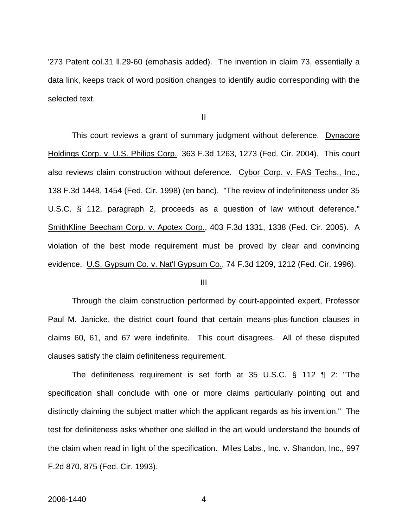'273 Patent col.31 ll.29-60 (emphasis added). The invention in claim 73, essentially a data link, keeps track of word position changes to identify audio corresponding with the selected text.

II

This court reviews a grant of summary judgment without deference. Dynacore Holdings Corp. v. U.S. Philips Corp., 363 F.3d 1263, 1273 (Fed. Cir. 2004). This court also reviews claim construction without deference. Cybor Corp. v. FAS Techs., Inc., 138 F.3d 1448, 1454 (Fed. Cir. 1998) (en banc). "The review of indefiniteness under 35 U.S.C. § 112, paragraph 2, proceeds as a question of law without deference." SmithKline Beecham Corp. v. Apotex Corp., 403 F.3d 1331, 1338 (Fed. Cir. 2005). A violation of the best mode requirement must be proved by clear and convincing evidence. U.S. Gypsum Co. v. Nat'l Gypsum Co., 74 F.3d 1209, 1212 (Fed. Cir. 1996).

III

 Through the claim construction performed by court-appointed expert, Professor Paul M. Janicke, the district court found that certain means-plus-function clauses in claims 60, 61, and 67 were indefinite. This court disagrees. All of these disputed clauses satisfy the claim definiteness requirement.

 The definiteness requirement is set forth at 35 U.S.C. § 112 ¶ 2: "The specification shall conclude with one or more claims particularly pointing out and distinctly claiming the subject matter which the applicant regards as his invention." The test for definiteness asks whether one skilled in the art would understand the bounds of the claim when read in light of the specification. Miles Labs., Inc. v. Shandon, Inc., 997 F.2d 870, 875 (Fed. Cir. 1993).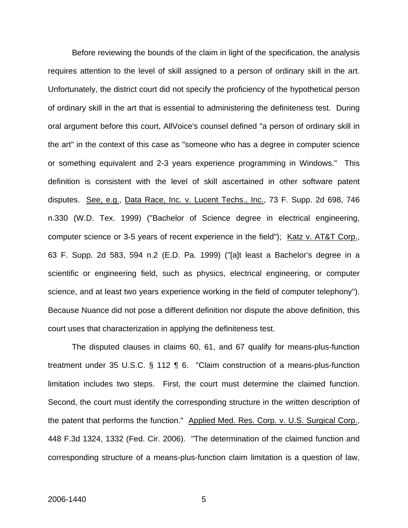Before reviewing the bounds of the claim in light of the specification, the analysis requires attention to the level of skill assigned to a person of ordinary skill in the art. Unfortunately, the district court did not specify the proficiency of the hypothetical person of ordinary skill in the art that is essential to administering the definiteness test. During oral argument before this court, AllVoice's counsel defined "a person of ordinary skill in the art" in the context of this case as "someone who has a degree in computer science or something equivalent and 2-3 years experience programming in Windows." This definition is consistent with the level of skill ascertained in other software patent disputes. See, e.g., Data Race, Inc. v. Lucent Techs., Inc., 73 F. Supp. 2d 698, 746 n.330 (W.D. Tex. 1999) ("Bachelor of Science degree in electrical engineering, computer science or 3-5 years of recent experience in the field"); Katz v. AT&T Corp., 63 F. Supp. 2d 583, 594 n.2 (E.D. Pa. 1999) ("[a]t least a Bachelor's degree in a scientific or engineering field, such as physics, electrical engineering, or computer science, and at least two years experience working in the field of computer telephony"). Because Nuance did not pose a different definition nor dispute the above definition, this court uses that characterization in applying the definiteness test.

 The disputed clauses in claims 60, 61, and 67 qualify for means-plus-function treatment under 35 U.S.C. § 112 ¶ 6. "Claim construction of a means-plus-function limitation includes two steps. First, the court must determine the claimed function. Second, the court must identify the corresponding structure in the written description of the patent that performs the function." Applied Med. Res. Corp. v. U.S. Surgical Corp., 448 F.3d 1324, 1332 (Fed. Cir. 2006). "The determination of the claimed function and corresponding structure of a means-plus-function claim limitation is a question of law,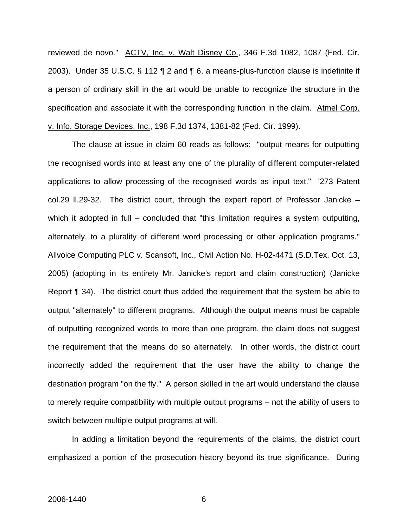reviewed de novo." ACTV, Inc. v. Walt Disney Co., 346 F.3d 1082, 1087 (Fed. Cir. 2003). Under 35 U.S.C. § 112 ¶ 2 and ¶ 6, a means-plus-function clause is indefinite if a person of ordinary skill in the art would be unable to recognize the structure in the specification and associate it with the corresponding function in the claim. Atmel Corp. v. Info. Storage Devices, Inc., 198 F.3d 1374, 1381-82 (Fed. Cir. 1999).

 The clause at issue in claim 60 reads as follows: "output means for outputting the recognised words into at least any one of the plurality of different computer-related applications to allow processing of the recognised words as input text." '273 Patent col.29 ll.29-32. The district court, through the expert report of Professor Janicke – which it adopted in full – concluded that "this limitation requires a system outputting, alternately, to a plurality of different word processing or other application programs." Allvoice Computing PLC v. Scansoft, Inc., Civil Action No. H-02-4471 (S.D.Tex. Oct. 13, 2005) (adopting in its entirety Mr. Janicke's report and claim construction) (Janicke Report ¶ 34). The district court thus added the requirement that the system be able to output "alternately" to different programs. Although the output means must be capable of outputting recognized words to more than one program, the claim does not suggest the requirement that the means do so alternately. In other words, the district court incorrectly added the requirement that the user have the ability to change the destination program "on the fly." A person skilled in the art would understand the clause to merely require compatibility with multiple output programs – not the ability of users to switch between multiple output programs at will.

In adding a limitation beyond the requirements of the claims, the district court emphasized a portion of the prosecution history beyond its true significance. During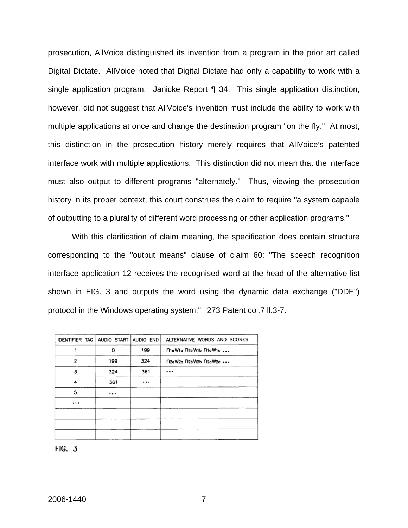prosecution, AllVoice distinguished its invention from a program in the prior art called Digital Dictate. AllVoice noted that Digital Dictate had only a capability to work with a single application program. Janicke Report ¶ 34. This single application distinction, however, did not suggest that AllVoice's invention must include the ability to work with multiple applications at once and change the destination program "on the fly." At most, this distinction in the prosecution history merely requires that AllVoice's patented interface work with multiple applications. This distinction did not mean that the interface must also output to different programs "alternately." Thus, viewing the prosecution history in its proper context, this court construes the claim to require "a system capable of outputting to a plurality of different word processing or other application programs."

 With this clarification of claim meaning, the specification does contain structure corresponding to the "output means" clause of claim 60: "The speech recognition interface application 12 receives the recognised word at the head of the alternative list shown in FIG. 3 and outputs the word using the dynamic data exchange ("DDE") protocol in the Windows operating system." '273 Patent col.7 ll.3-7.

| IDENTIFIER TAG AUDIO START |          | AUDIO END | ALTERNATIVE WORDS AND SCORES |
|----------------------------|----------|-----------|------------------------------|
|                            | O        | 199       | MaWia MbWib McWic            |
| $\overline{2}$             | 199      | 324       | n2aW2a n2bW2b n2cW2c         |
| 3                          | 324      | 361       | $\cdots$                     |
| 4                          | 361      | $\cdots$  |                              |
| 5                          | $\cdots$ |           |                              |
| $\cdots$                   |          |           |                              |
|                            |          |           |                              |
|                            |          |           |                              |
|                            |          |           |                              |

**FIG. 3**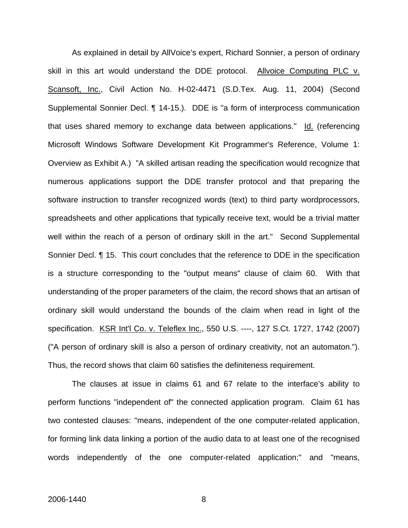As explained in detail by AllVoice's expert, Richard Sonnier, a person of ordinary skill in this art would understand the DDE protocol. Allvoice Computing PLC v. Scansoft, Inc., Civil Action No. H-02-4471 (S.D.Tex. Aug. 11, 2004) (Second Supplemental Sonnier Decl. ¶ 14-15.). DDE is "a form of interprocess communication that uses shared memory to exchange data between applications." Id. (referencing Microsoft Windows Software Development Kit Programmer's Reference, Volume 1: Overview as Exhibit A.) "A skilled artisan reading the specification would recognize that numerous applications support the DDE transfer protocol and that preparing the software instruction to transfer recognized words (text) to third party wordprocessors, spreadsheets and other applications that typically receive text, would be a trivial matter well within the reach of a person of ordinary skill in the art." Second Supplemental Sonnier Decl. ¶ 15. This court concludes that the reference to DDE in the specification is a structure corresponding to the "output means" clause of claim 60. With that understanding of the proper parameters of the claim, the record shows that an artisan of ordinary skill would understand the bounds of the claim when read in light of the specification. KSR Int'l Co. v. Teleflex Inc., 550 U.S. ----, 127 S.Ct. 1727, 1742 (2007) ("A person of ordinary skill is also a person of ordinary creativity, not an automaton."). Thus, the record shows that claim 60 satisfies the definiteness requirement.

 The clauses at issue in claims 61 and 67 relate to the interface's ability to perform functions "independent of" the connected application program. Claim 61 has two contested clauses: "means, independent of the one computer-related application, for forming link data linking a portion of the audio data to at least one of the recognised words independently of the one computer-related application;" and "means,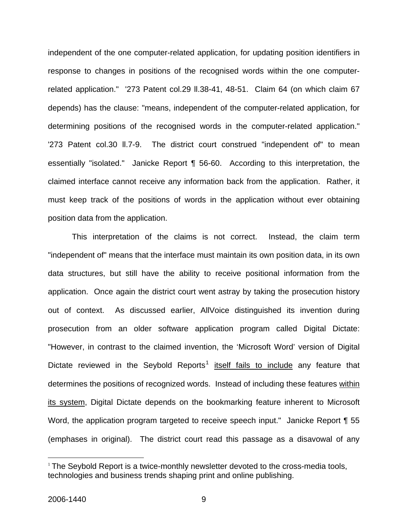independent of the one computer-related application, for updating position identifiers in response to changes in positions of the recognised words within the one computerrelated application." '273 Patent col.29 ll.38-41, 48-51. Claim 64 (on which claim 67 depends) has the clause: "means, independent of the computer-related application, for determining positions of the recognised words in the computer-related application." '273 Patent col.30 ll.7-9. The district court construed "independent of" to mean essentially "isolated." Janicke Report ¶ 56-60. According to this interpretation, the claimed interface cannot receive any information back from the application. Rather, it must keep track of the positions of words in the application without ever obtaining position data from the application.

 This interpretation of the claims is not correct. Instead, the claim term "independent of" means that the interface must maintain its own position data, in its own data structures, but still have the ability to receive positional information from the application. Once again the district court went astray by taking the prosecution history out of context. As discussed earlier, AllVoice distinguished its invention during prosecution from an older software application program called Digital Dictate: "However, in contrast to the claimed invention, the 'Microsoft Word' version of Digital Dictate reviewed in the Seybold Reports<sup>[1](#page-9-0)</sup> itself fails to include any feature that determines the positions of recognized words. Instead of including these features within its system, Digital Dictate depends on the bookmarking feature inherent to Microsoft Word, the application program targeted to receive speech input." Janicke Report ¶ 55 (emphases in original). The district court read this passage as a disavowal of any

1

<span id="page-9-0"></span><sup>&</sup>lt;sup>1</sup> The Seybold Report is a twice-monthly newsletter devoted to the cross-media tools, technologies and business trends shaping print and online publishing.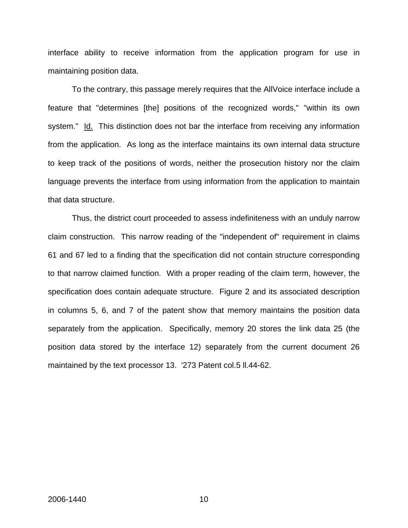interface ability to receive information from the application program for use in maintaining position data.

 To the contrary, this passage merely requires that the AllVoice interface include a feature that "determines [the] positions of the recognized words," "within its own system." Id. This distinction does not bar the interface from receiving any information from the application. As long as the interface maintains its own internal data structure to keep track of the positions of words, neither the prosecution history nor the claim language prevents the interface from using information from the application to maintain that data structure.

Thus, the district court proceeded to assess indefiniteness with an unduly narrow claim construction. This narrow reading of the "independent of" requirement in claims 61 and 67 led to a finding that the specification did not contain structure corresponding to that narrow claimed function. With a proper reading of the claim term, however, the specification does contain adequate structure. Figure 2 and its associated description in columns 5, 6, and 7 of the patent show that memory maintains the position data separately from the application. Specifically, memory 20 stores the link data 25 (the position data stored by the interface 12) separately from the current document 26 maintained by the text processor 13. '273 Patent col.5 ll.44-62.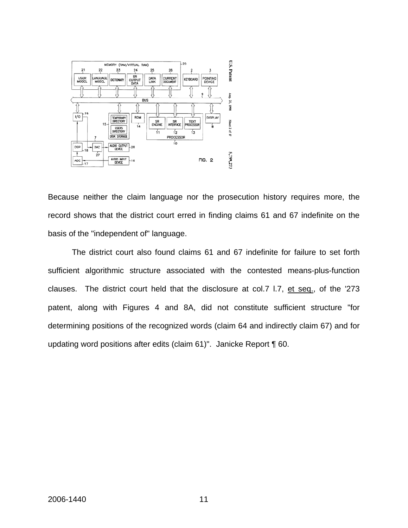

Because neither the claim language nor the prosecution history requires more, the record shows that the district court erred in finding claims 61 and 67 indefinite on the basis of the "independent of" language.

 The district court also found claims 61 and 67 indefinite for failure to set forth sufficient algorithmic structure associated with the contested means-plus-function clauses. The district court held that the disclosure at col.7 l.7, et seq., of the '273 patent, along with Figures 4 and 8A, did not constitute sufficient structure "for determining positions of the recognized words (claim 64 and indirectly claim 67) and for updating word positions after edits (claim 61)". Janicke Report ¶ 60.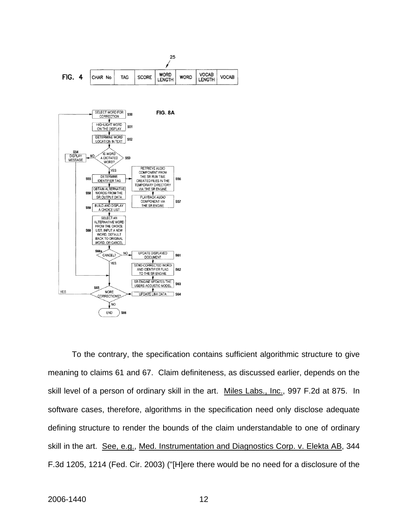

 To the contrary, the specification contains sufficient algorithmic structure to give meaning to claims 61 and 67. Claim definiteness, as discussed earlier, depends on the skill level of a person of ordinary skill in the art. Miles Labs., Inc., 997 F.2d at 875. In software cases, therefore, algorithms in the specification need only disclose adequate defining structure to render the bounds of the claim understandable to one of ordinary skill in the art. See, e.g., Med. Instrumentation and Diagnostics Corp. v. Elekta AB, 344 F.3d 1205, 1214 (Fed. Cir. 2003) ("[H]ere there would be no need for a disclosure of the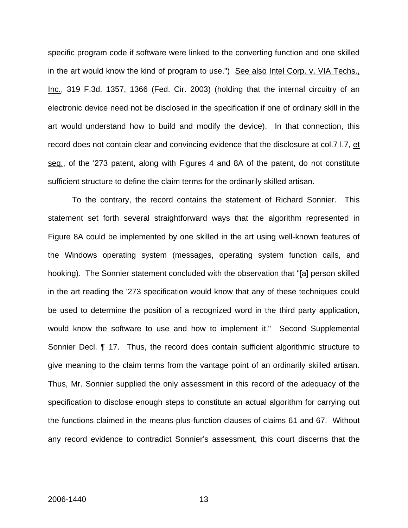specific program code if software were linked to the converting function and one skilled in the art would know the kind of program to use.") See also Intel Corp. v. VIA Techs., Inc., 319 F.3d. 1357, 1366 (Fed. Cir. 2003) (holding that the internal circuitry of an electronic device need not be disclosed in the specification if one of ordinary skill in the art would understand how to build and modify the device). In that connection, this record does not contain clear and convincing evidence that the disclosure at col.7 l.7, et seq., of the '273 patent, along with Figures 4 and 8A of the patent, do not constitute sufficient structure to define the claim terms for the ordinarily skilled artisan.

To the contrary, the record contains the statement of Richard Sonnier. This statement set forth several straightforward ways that the algorithm represented in Figure 8A could be implemented by one skilled in the art using well-known features of the Windows operating system (messages, operating system function calls, and hooking). The Sonnier statement concluded with the observation that "[a] person skilled in the art reading the '273 specification would know that any of these techniques could be used to determine the position of a recognized word in the third party application, would know the software to use and how to implement it." Second Supplemental Sonnier Decl. ¶ 17. Thus, the record does contain sufficient algorithmic structure to give meaning to the claim terms from the vantage point of an ordinarily skilled artisan. Thus, Mr. Sonnier supplied the only assessment in this record of the adequacy of the specification to disclose enough steps to constitute an actual algorithm for carrying out the functions claimed in the means-plus-function clauses of claims 61 and 67. Without any record evidence to contradict Sonnier's assessment, this court discerns that the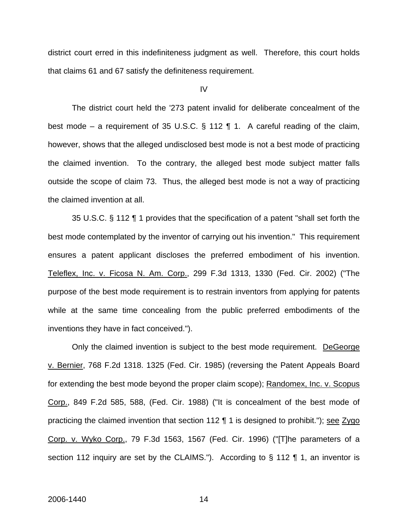district court erred in this indefiniteness judgment as well. Therefore, this court holds that claims 61 and 67 satisfy the definiteness requirement.

#### IV

 The district court held the '273 patent invalid for deliberate concealment of the best mode – a requirement of 35 U.S.C. § 112  $\P$  1. A careful reading of the claim, however, shows that the alleged undisclosed best mode is not a best mode of practicing the claimed invention. To the contrary, the alleged best mode subject matter falls outside the scope of claim 73. Thus, the alleged best mode is not a way of practicing the claimed invention at all.

 35 U.S.C. § 112 ¶ 1 provides that the specification of a patent "shall set forth the best mode contemplated by the inventor of carrying out his invention." This requirement ensures a patent applicant discloses the preferred embodiment of his invention. Teleflex, Inc. v. Ficosa N. Am. Corp., 299 F.3d 1313, 1330 (Fed. Cir. 2002) ("The purpose of the best mode requirement is to restrain inventors from applying for patents while at the same time concealing from the public preferred embodiments of the inventions they have in fact conceived.").

Only the claimed invention is subject to the best mode requirement. DeGeorge v. Bernier, 768 F.2d 1318. 1325 (Fed. Cir. 1985) (reversing the Patent Appeals Board for extending the best mode beyond the proper claim scope); Randomex, Inc. v. Scopus Corp., 849 F.2d 585, 588, (Fed. Cir. 1988) ("It is concealment of the best mode of practicing the claimed invention that section 112  $\P$  1 is designed to prohibit."); see Zygo Corp. v. Wyko Corp., 79 F.3d 1563, 1567 (Fed. Cir. 1996) ("[T]he parameters of a section 112 inquiry are set by the CLAIMS."). According to § 112 ¶ 1, an inventor is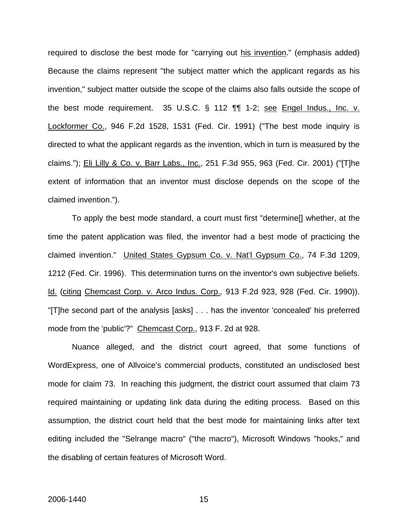required to disclose the best mode for "carrying out his invention." (emphasis added) Because the claims represent "the subject matter which the applicant regards as his invention," subject matter outside the scope of the claims also falls outside the scope of the best mode requirement. 35 U.S.C. § 112 ¶¶ 1-2; see Engel Indus., Inc. v. Lockformer Co., 946 F.2d 1528, 1531 (Fed. Cir. 1991) ("The best mode inquiry is directed to what the applicant regards as the invention, which in turn is measured by the claims."); Eli Lilly & Co. v. Barr Labs., Inc., 251 F.3d 955, 963 (Fed. Cir. 2001) ("[T]he extent of information that an inventor must disclose depends on the scope of the claimed invention.").

To apply the best mode standard, a court must first "determine[] whether, at the time the patent application was filed, the inventor had a best mode of practicing the claimed invention." United States Gypsum Co. v. Nat'l Gypsum Co., 74 F.3d 1209, 1212 (Fed. Cir. 1996). This determination turns on the inventor's own subjective beliefs. Id. (citing Chemcast Corp. v. Arco Indus. Corp.*,* 913 F.2d 923, 928 (Fed. Cir. 1990)). "[T]he second part of the analysis [asks] . . . has the inventor 'concealed' his preferred mode from the 'public'?" Chemcast Corp., 913 F. 2d at 928.

Nuance alleged, and the district court agreed, that some functions of WordExpress, one of Allvoice's commercial products, constituted an undisclosed best mode for claim 73. In reaching this judgment, the district court assumed that claim 73 required maintaining or updating link data during the editing process. Based on this assumption, the district court held that the best mode for maintaining links after text editing included the "Selrange macro" ("the macro"), Microsoft Windows "hooks," and the disabling of certain features of Microsoft Word.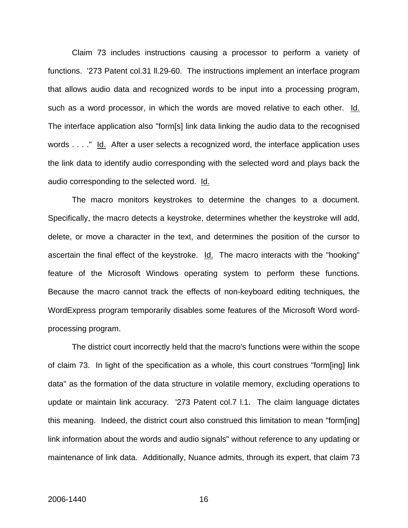Claim 73 includes instructions causing a processor to perform a variety of functions. '273 Patent col.31 ll.29-60. The instructions implement an interface program that allows audio data and recognized words to be input into a processing program, such as a word processor, in which the words are moved relative to each other. Id. The interface application also "form[s] link data linking the audio data to the recognised words . . . ." Id. After a user selects a recognized word, the interface application uses the link data to identify audio corresponding with the selected word and plays back the audio corresponding to the selected word. Id.

The macro monitors keystrokes to determine the changes to a document. Specifically, the macro detects a keystroke, determines whether the keystroke will add, delete, or move a character in the text, and determines the position of the cursor to ascertain the final effect of the keystroke. Id. The macro interacts with the "hooking" feature of the Microsoft Windows operating system to perform these functions. Because the macro cannot track the effects of non-keyboard editing techniques, the WordExpress program temporarily disables some features of the Microsoft Word wordprocessing program.

The district court incorrectly held that the macro's functions were within the scope of claim 73. In light of the specification as a whole, this court construes "form[ing] link data" as the formation of the data structure in volatile memory, excluding operations to update or maintain link accuracy. '273 Patent col.7 l.1. The claim language dictates this meaning. Indeed, the district court also construed this limitation to mean "form[ing] link information about the words and audio signals" without reference to any updating or maintenance of link data. Additionally, Nuance admits, through its expert, that claim 73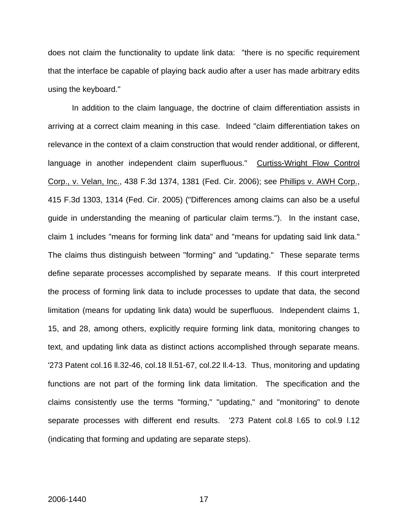does not claim the functionality to update link data: "there is no specific requirement that the interface be capable of playing back audio after a user has made arbitrary edits using the keyboard."

In addition to the claim language, the doctrine of claim differentiation assists in arriving at a correct claim meaning in this case. Indeed "claim differentiation takes on relevance in the context of a claim construction that would render additional, or different, language in another independent claim superfluous." Curtiss-Wright Flow Control Corp., v. Velan, Inc., 438 F.3d 1374, 1381 (Fed. Cir. 2006); see Phillips v. AWH Corp., 415 F.3d 1303, 1314 (Fed. Cir. 2005) ("Differences among claims can also be a useful guide in understanding the meaning of particular claim terms."). In the instant case, claim 1 includes "means for forming link data" and "means for updating said link data." The claims thus distinguish between "forming" and "updating." These separate terms define separate processes accomplished by separate means. If this court interpreted the process of forming link data to include processes to update that data, the second limitation (means for updating link data) would be superfluous. Independent claims 1, 15, and 28, among others, explicitly require forming link data, monitoring changes to text, and updating link data as distinct actions accomplished through separate means. '273 Patent col.16 ll.32-46, col.18 ll.51-67, col.22 ll.4-13. Thus, monitoring and updating functions are not part of the forming link data limitation. The specification and the claims consistently use the terms "forming," "updating," and "monitoring" to denote separate processes with different end results. '273 Patent col.8 l.65 to col.9 l.12 (indicating that forming and updating are separate steps).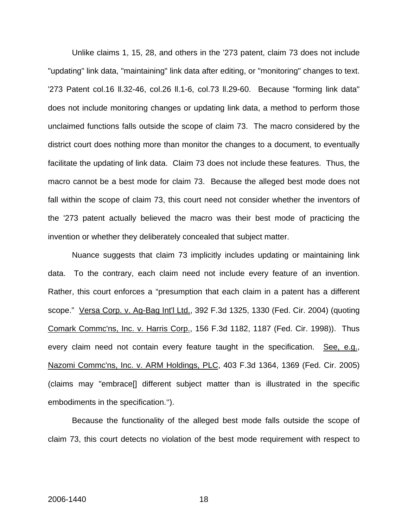Unlike claims 1, 15, 28, and others in the '273 patent, claim 73 does not include "updating" link data, "maintaining" link data after editing, or "monitoring" changes to text. '273 Patent col.16 ll.32-46, col.26 ll.1-6, col.73 ll.29-60. Because "forming link data" does not include monitoring changes or updating link data, a method to perform those unclaimed functions falls outside the scope of claim 73. The macro considered by the district court does nothing more than monitor the changes to a document, to eventually facilitate the updating of link data. Claim 73 does not include these features. Thus, the macro cannot be a best mode for claim 73. Because the alleged best mode does not fall within the scope of claim 73, this court need not consider whether the inventors of the '273 patent actually believed the macro was their best mode of practicing the invention or whether they deliberately concealed that subject matter.

Nuance suggests that claim 73 implicitly includes updating or maintaining link data. To the contrary, each claim need not include every feature of an invention. Rather, this court enforces a "presumption that each claim in a patent has a different scope." Versa Corp. v. Ag-Bag Int'l Ltd., 392 F.3d 1325, 1330 (Fed. Cir. 2004) (quoting Comark Commc'ns, Inc. v. Harris Corp., 156 F.3d 1182, 1187 (Fed. Cir. 1998)). Thus every claim need not contain every feature taught in the specification. See, e.g., Nazomi Commc'ns, Inc. v. ARM Holdings, PLC, 403 F.3d 1364, 1369 (Fed. Cir. 2005) (claims may "embrace[] different subject matter than is illustrated in the specific embodiments in the specification.").

Because the functionality of the alleged best mode falls outside the scope of claim 73, this court detects no violation of the best mode requirement with respect to